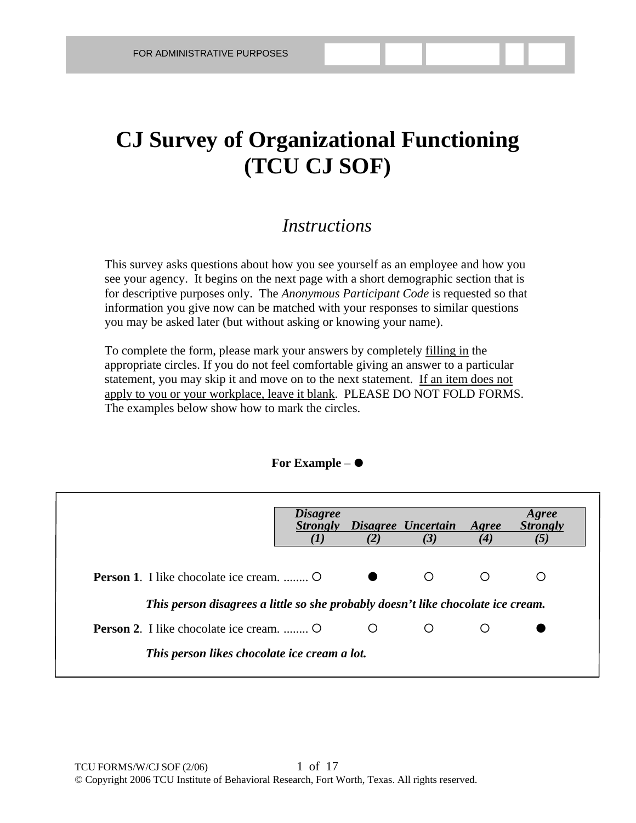# **CJ Survey of Organizational Functioning (TCU CJ SOF)**

#### *Instructions*

This survey asks questions about how you see yourself as an employee and how you see your agency. It begins on the next page with a short demographic section that is for descriptive purposes only. The *Anonymous Participant Code* is requested so that information you give now can be matched with your responses to similar questions you may be asked later (but without asking or knowing your name).

To complete the form, please mark your answers by completely filling in the appropriate circles. If you do not feel comfortable giving an answer to a particular statement, you may skip it and move on to the next statement. If an item does not apply to you or your workplace, leave it blank. PLEASE DO NOT FOLD FORMS. The examples below show how to mark the circles.

#### **For Example** –

|                                                                                  | <i>Disagree</i> |   | Strongly Disagree Uncertain Agree |     | Agree<br><b>Strongly</b> |
|----------------------------------------------------------------------------------|-----------------|---|-----------------------------------|-----|--------------------------|
|                                                                                  |                 |   | (3)                               | (4) | (5)                      |
| <b>Person 1.</b> I like chocolate ice cream.                                     |                 |   |                                   | ◯   |                          |
| This person disagrees a little so she probably doesn't like chocolate ice cream. |                 |   |                                   |     |                          |
| <b>Person 2.</b> I like chocolate ice cream.                                     |                 | ◯ |                                   | ()  |                          |
| This person likes chocolate ice cream a lot.                                     |                 |   |                                   |     |                          |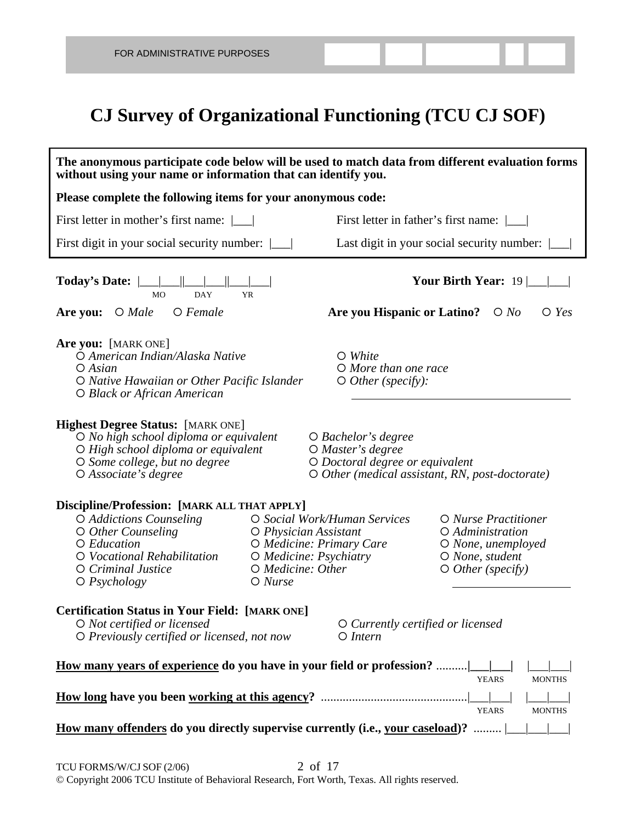## **CJ Survey of Organizational Functioning (TCU CJ SOF)**

| The anonymous participate code below will be used to match data from different evaluation forms<br>without using your name or information that can identify you.                                 |                                                                                                                                                         |                                                                                                                                               |                                                                                                              |  |  |  |  |
|--------------------------------------------------------------------------------------------------------------------------------------------------------------------------------------------------|---------------------------------------------------------------------------------------------------------------------------------------------------------|-----------------------------------------------------------------------------------------------------------------------------------------------|--------------------------------------------------------------------------------------------------------------|--|--|--|--|
| Please complete the following items for your anonymous code:                                                                                                                                     |                                                                                                                                                         |                                                                                                                                               |                                                                                                              |  |  |  |  |
| First letter in mother's first name: \[                                                                                                                                                          |                                                                                                                                                         |                                                                                                                                               | First letter in father's first name: $\boxed{\phantom{a}}$                                                   |  |  |  |  |
| First digit in your social security number:                                                                                                                                                      |                                                                                                                                                         |                                                                                                                                               | Last digit in your social security number:                                                                   |  |  |  |  |
| <b>DAY</b><br><b>MO</b>                                                                                                                                                                          | <b>YR</b>                                                                                                                                               | Your Birth Year: $19 \mid$                                                                                                                    |                                                                                                              |  |  |  |  |
| Are you: $\bigcirc$ Male<br>$O$ Female                                                                                                                                                           |                                                                                                                                                         | <b>Are you Hispanic or Latino?</b>                                                                                                            | $\bigcirc$ No<br>$\bigcirc$ Yes                                                                              |  |  |  |  |
| Are you: [MARK ONE]<br>O American Indian/Alaska Native<br>$O$ Asian<br>O Native Hawaiian or Other Pacific Islander<br>O Black or African American                                                |                                                                                                                                                         | $\circ$ White<br>$O$ More than one race<br>$\circ$ Other (specify):                                                                           |                                                                                                              |  |  |  |  |
| <b>Highest Degree Status: [MARK ONE]</b><br>O No high school diploma or equivalent<br>O High school diploma or equivalent<br>O Some college, but no degree<br>$O$ Associate's degree             |                                                                                                                                                         | $\bigcirc$ Bachelor's degree<br>O Master's degree<br>O Doctoral degree or equivalent<br>$\circ$ Other (medical assistant, RN, post-doctorate) |                                                                                                              |  |  |  |  |
| Discipline/Profession: [MARK ALL THAT APPLY]<br>O Addictions Counseling<br>$\circ$ Other Counseling<br>O Education<br>O Vocational Rehabilitation<br>O Criminal Justice<br>$\bigcirc$ Psychology | O Physician Assistant<br>O Medicine: Other<br>$O$ Nurse                                                                                                 | O Social Work/Human Services<br>O Medicine: Primary Care<br>O Medicine: Psychiatry                                                            | O Nurse Practitioner<br>O Administration<br>O None, unemployed<br>O None, student<br>$\circ$ Other (specify) |  |  |  |  |
| O Not certified or licensed                                                                                                                                                                      | <b>Certification Status in Your Field: [MARK ONE]</b><br>O Currently certified or licensed<br>O Previously certified or licensed, not now<br>$O$ Intern |                                                                                                                                               |                                                                                                              |  |  |  |  |
| <u>How many years of experience</u> do you have in your field or profession?                                                                                                                     |                                                                                                                                                         |                                                                                                                                               |                                                                                                              |  |  |  |  |
| <b>YEARS</b><br><b>MONTHS</b><br><b>YEARS</b><br><b>MONTHS</b>                                                                                                                                   |                                                                                                                                                         |                                                                                                                                               |                                                                                                              |  |  |  |  |
| How many offenders do you directly supervise currently (i.e., your caseload)?                                                                                                                    |                                                                                                                                                         |                                                                                                                                               |                                                                                                              |  |  |  |  |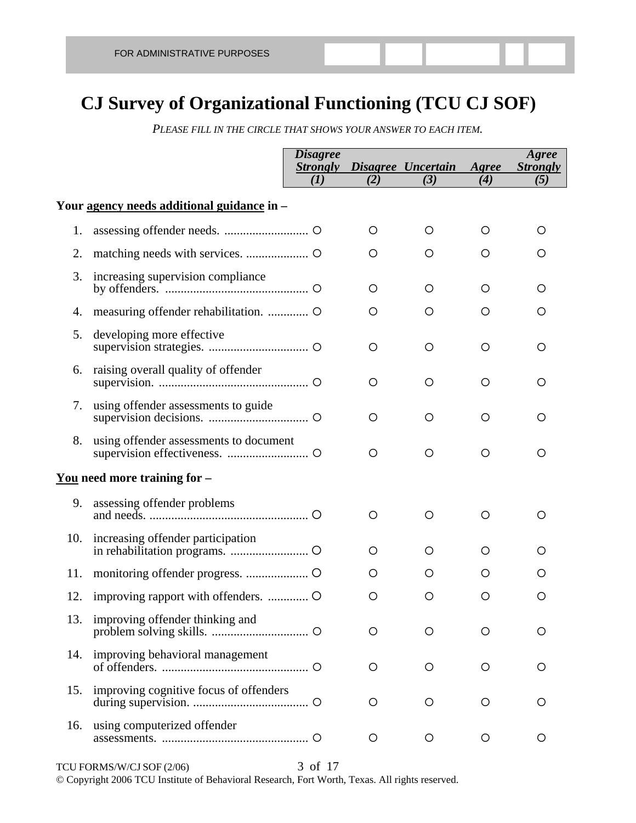## **CJ Survey of Organizational Functioning (TCU CJ SOF)**

*PLEASE FILL IN THE CIRCLE THAT SHOWS YOUR ANSWER TO EACH ITEM.* 

|     |                                            | <i><b>Disagree</b></i><br><b>Strongly</b> |         | Disagree Uncertain | Agree    | Agree<br><b>Strongly</b> |
|-----|--------------------------------------------|-------------------------------------------|---------|--------------------|----------|--------------------------|
|     |                                            | (I)                                       | (2)     | (3)                | $\bf(4)$ | (5)                      |
|     | Your agency needs additional guidance in - |                                           |         |                    |          |                          |
| 1.  |                                            |                                           | O       | O                  | O        | O                        |
| 2.  |                                            |                                           | O       | O                  | O        | O                        |
| 3.  | increasing supervision compliance          |                                           | O       | O                  | O        | O                        |
| 4.  | measuring offender rehabilitation.  O      |                                           | O       | O                  | O        | O                        |
| 5.  | developing more effective                  |                                           | $\circ$ | O                  | $\circ$  | О                        |
| 6.  | raising overall quality of offender        |                                           | $\circ$ | $\circ$            | O        | O                        |
| 7.  | using offender assessments to guide        |                                           | O       | O                  | O        | O                        |
| 8.  | using offender assessments to document     |                                           | $\circ$ | O                  | O        | O                        |
|     | <u>You</u> need more training for $-$      |                                           |         |                    |          |                          |
| 9.  | assessing offender problems                |                                           | O       | O                  | O        | O                        |
| 10. | increasing offender participation          |                                           | O       | O                  | O        | O                        |
| 11. |                                            |                                           | O       | O                  | O        | O                        |
| 12. | improving rapport with offenders.  O       |                                           | O       | O                  | O        | O                        |
| 13. | improving offender thinking and            |                                           | O       | O                  | O        | O                        |
| 14. | improving behavioral management            |                                           | O       | O                  | O        | O                        |
| 15. | improving cognitive focus of offenders     |                                           | O       | $\circ$            | O        | O                        |
| 16. | using computerized offender                |                                           | O       | O                  | O        | O                        |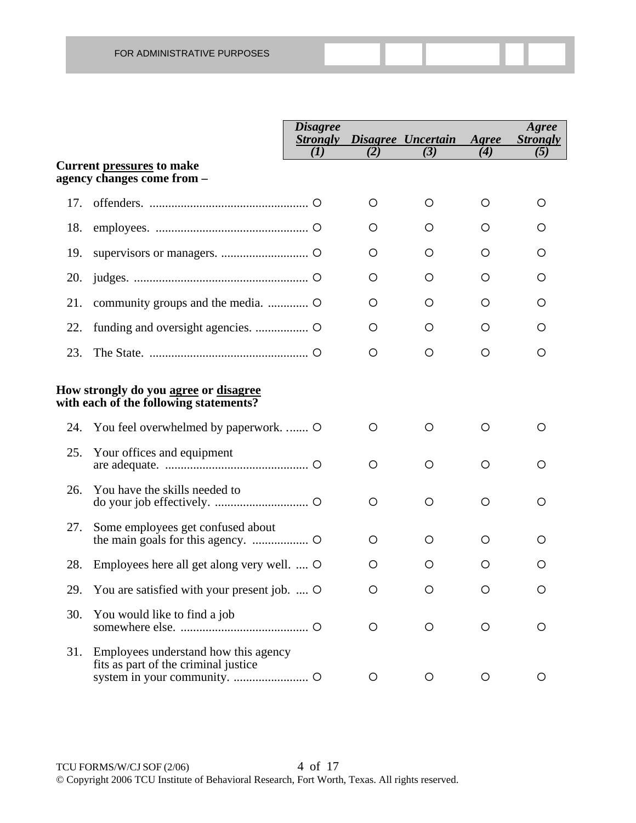|     |                                                                                 | <b>Disagree</b><br><b>Strongly</b> |         | Disagree Uncertain | Agree | Agree<br><b>Strongly</b> |
|-----|---------------------------------------------------------------------------------|------------------------------------|---------|--------------------|-------|--------------------------|
|     | <b>Current pressures to make</b><br>agency changes come from -                  | (I)                                | (2)     | (3)                | (4)   | (5)                      |
| 17. |                                                                                 |                                    | O       | O                  | O     | O                        |
| 18. |                                                                                 |                                    | O       | O                  | O     | O                        |
| 19. |                                                                                 |                                    | O       | O                  | O     | O                        |
| 20. |                                                                                 |                                    | O       | O                  | O     | O                        |
| 21. |                                                                                 |                                    | O       | O                  | O     | O                        |
| 22. |                                                                                 |                                    | O       | O                  | O     | O                        |
| 23. |                                                                                 |                                    | O       | O                  | O     | O                        |
|     | How strongly do you agree or disagree<br>with each of the following statements? |                                    |         |                    |       |                          |
| 24. | You feel overwhelmed by paperwork.  O                                           |                                    | $\circ$ | O                  | O     | O                        |
| 25. | Your offices and equipment                                                      |                                    | $\circ$ | O                  | O     | Ő                        |
| 26. | You have the skills needed to                                                   |                                    | $\circ$ | $\circ$            | O     | O                        |
| 27. | Some employees get confused about                                               |                                    | O       | O                  | O     | O                        |
| 28. | Employees here all get along very well.  O                                      |                                    | O       | O                  | O     | Ő                        |
| 29. | You are satisfied with your present job.  O                                     |                                    | $\circ$ | Ő                  | O     | O                        |
| 30. | You would like to find a job                                                    |                                    | $\circ$ | O                  | O     | Ő                        |
| 31. | Employees understand how this agency<br>fits as part of the criminal justice    |                                    | O       | $\circ$            | O     |                          |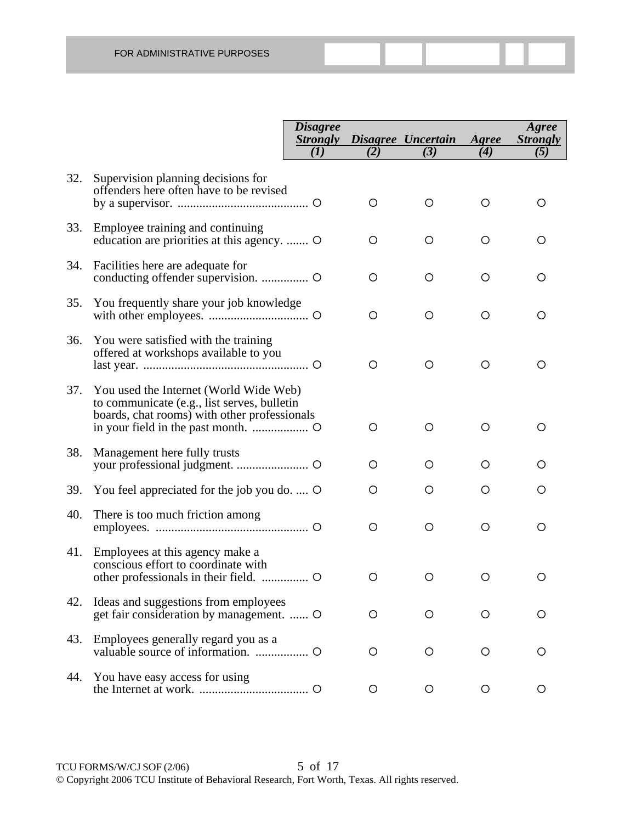|     |                                                                                                                                       | <b>Disagree</b><br><b>Strongly</b> |         | Disagree Uncertain | Agree   | Agree<br><b>Strongly</b> |
|-----|---------------------------------------------------------------------------------------------------------------------------------------|------------------------------------|---------|--------------------|---------|--------------------------|
|     |                                                                                                                                       | (I)                                | (2)     | (3)                | (4)     | (5)                      |
| 32. | Supervision planning decisions for<br>offenders here often have to be revised                                                         |                                    | O       | O                  | O       | O                        |
| 33. | Employee training and continuing<br>education are priorities at this agency.  O                                                       |                                    | O       | O                  | $\circ$ | O                        |
| 34. | Facilities here are adequate for                                                                                                      |                                    | O       | O                  | O       | O                        |
| 35. | You frequently share your job knowledge                                                                                               |                                    | O       | O                  | O       | O                        |
| 36. | You were satisfied with the training<br>offered at workshops available to you                                                         |                                    | O       | O                  | O       | O                        |
| 37. | You used the Internet (World Wide Web)<br>to communicate (e.g., list serves, bulletin<br>boards, chat rooms) with other professionals |                                    | O       | O                  | O       | O                        |
| 38. | Management here fully trusts                                                                                                          |                                    | O       | O                  | O       | O                        |
| 39. | You feel appreciated for the job you do.  O                                                                                           |                                    | O       | O                  | О       | O                        |
| 40. | There is too much friction among                                                                                                      |                                    | $\circ$ | O                  | O       | O                        |
| 41. | Employees at this agency make a<br>conscious effort to coordinate with                                                                |                                    | O       | O                  | O       | O                        |
| 42. | Ideas and suggestions from employees<br>get fair consideration by management.  O                                                      |                                    | О       | $\circ$            | О       | O                        |
| 43. | Employees generally regard you as a                                                                                                   |                                    | O       | $\circ$            | О       | O                        |
| 44. | You have easy access for using                                                                                                        |                                    | O       | О                  | О       | O                        |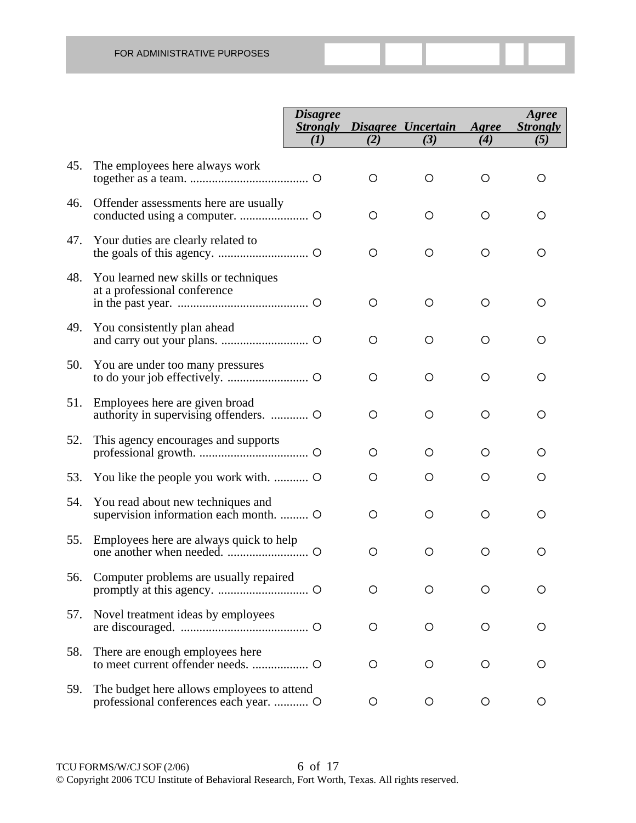|     |                                                                                      | <b>Disagree</b><br><b>Strongly</b> |         | Disagree Uncertain | Agree   | Agree<br><b>Strongly</b> |
|-----|--------------------------------------------------------------------------------------|------------------------------------|---------|--------------------|---------|--------------------------|
|     |                                                                                      | (I)                                | (2)     | (3)                | (4)     | (5)                      |
| 45. | The employees here always work                                                       |                                    | O       | $\circ$            | O       | Ő                        |
| 46. | Offender assessments here are usually                                                |                                    | O       | $\circ$            | O       | O                        |
| 47. | Your duties are clearly related to                                                   |                                    | O       | O                  | $\circ$ | O                        |
| 48. | You learned new skills or techniques<br>at a professional conference                 |                                    | O       | O                  | O       | O                        |
|     | 49. You consistently plan ahead                                                      |                                    | $\circ$ | O                  | O       | O                        |
| 50. | You are under too many pressures                                                     |                                    | $\circ$ | O                  | O       | O                        |
| 51. | Employees here are given broad<br>authority in supervising offenders.  O             |                                    | O       | O                  | O       | O                        |
| 52. | This agency encourages and supports                                                  |                                    | O       | O                  | O       | O                        |
| 53. | You like the people you work with.                                                   |                                    | O       | O                  | O       | O                        |
| 54. | You read about new techniques and<br>supervision information each month.  O          |                                    | O       | O                  | O       | O                        |
| 55. | Employees here are always quick to help                                              |                                    | O       | O                  | O       | O                        |
| 56. | Computer problems are usually repaired                                               |                                    | O       | Ω                  | O       | ( )                      |
| 57. | Novel treatment ideas by employees                                                   |                                    | O       | O                  | O       | O                        |
| 58. | There are enough employees here                                                      |                                    | O       | O                  | O       | O                        |
| 59. | The budget here allows employees to attend<br>professional conferences each year.  O |                                    | O       | O                  | O       | О                        |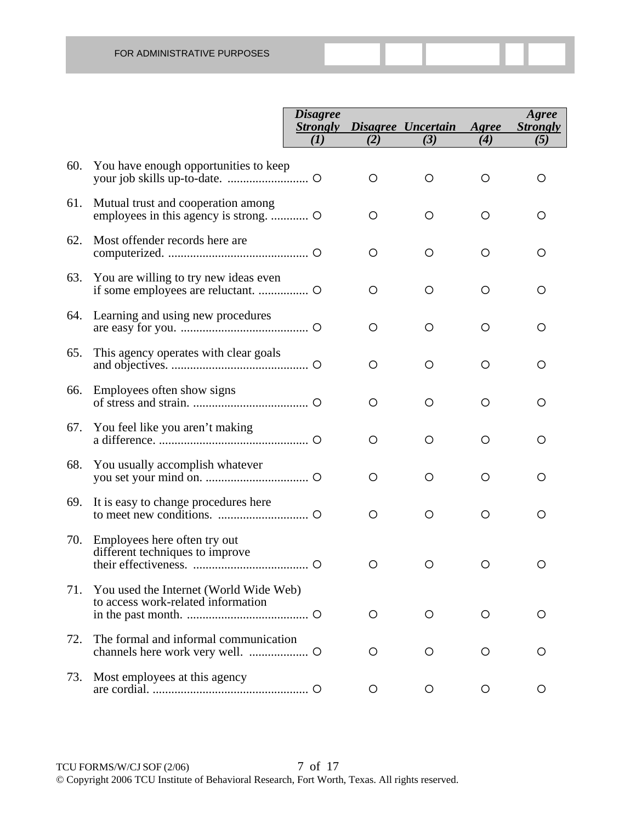|     |                                                                              | <b>Disagree</b><br><b>Strongly</b> |         | Disagree Uncertain | Agree   | Agree<br><b>Strongly</b> |
|-----|------------------------------------------------------------------------------|------------------------------------|---------|--------------------|---------|--------------------------|
|     |                                                                              | (I)                                | (2)     | (3)                | (4)     | (5)                      |
| 60. | You have enough opportunities to keep                                        |                                    | O       | $\circ$            | O       | O                        |
| 61. | Mutual trust and cooperation among                                           |                                    | O       | $\circ$            | $\circ$ | O                        |
| 62. | Most offender records here are                                               |                                    | O       | $\circ$            | O       | O                        |
| 63. | You are willing to try new ideas even                                        |                                    | O       | O                  | O       | Ο                        |
|     | 64. Learning and using new procedures                                        |                                    | O       | O                  | O       | Ο                        |
| 65. | This agency operates with clear goals                                        |                                    | O       | O                  | O       | Ο                        |
|     | 66. Employees often show signs                                               |                                    | O       | O                  | O       | O                        |
| 67. | You feel like you aren't making                                              |                                    | O       | O                  | O       | O                        |
| 68. | You usually accomplish whatever                                              |                                    | O       | O                  | O       | O                        |
| 69. | It is easy to change procedures here                                         |                                    | O       | O                  | O       | O                        |
|     | 70. Employees here often try out<br>different techniques to improve          |                                    | O       | O                  | O       | O                        |
| 71. | You used the Internet (World Wide Web)<br>to access work-related information |                                    | $\circ$ | $\circ$            | O       | O                        |
| 72. | The formal and informal communication                                        |                                    | O       | О                  | О       | O                        |
| 73. | Most employees at this agency                                                |                                    | O       | $\circ$            | O       | O                        |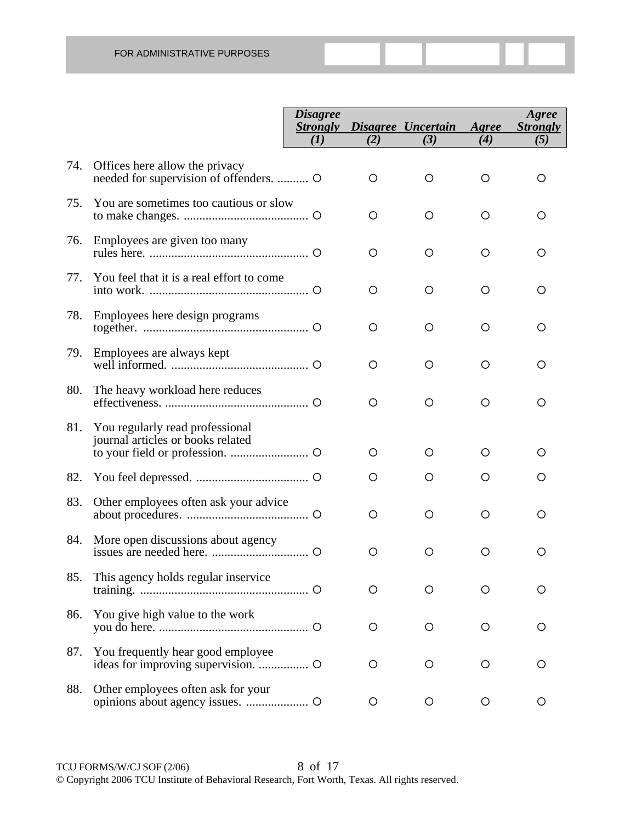|     |                                                                           | <b>Disagree</b><br><b>Strongly</b><br>(I) | (2)     | Disagree Uncertain<br>(3) | Agree<br>(4) | Agree<br><b>Strongly</b><br>(5) |
|-----|---------------------------------------------------------------------------|-------------------------------------------|---------|---------------------------|--------------|---------------------------------|
|     |                                                                           |                                           |         |                           |              |                                 |
| 74. | Offices here allow the privacy<br>needed for supervision of offenders.  O |                                           | O       | O                         | O            | O                               |
| 75. | You are sometimes too cautious or slow                                    |                                           | O       | O                         | O            | O                               |
| 76. | Employees are given too many                                              |                                           | O       | O                         | O            | O                               |
| 77. | You feel that it is a real effort to come                                 |                                           | O       | O                         | O            | O                               |
| 78. | Employees here design programs                                            |                                           | $\circ$ | O                         | O            | O                               |
|     | 79. Employees are always kept                                             |                                           | O       | O                         | O            | O                               |
| 80. | The heavy workload here reduces                                           |                                           | $\circ$ | O                         | O            | O                               |
| 81. | You regularly read professional<br>journal articles or books related      |                                           | O       | O                         | O            |                                 |
| 82. |                                                                           |                                           | O       | O                         | O            | O                               |
| 83. | Other employees often ask your advice                                     |                                           | $\circ$ | O                         | O            | O                               |
| 84. | More open discussions about agency                                        |                                           | $\circ$ | O                         | O            | O                               |
| 85. | This agency holds regular inservice                                       |                                           | O       | Ο                         | O            | O                               |
| 86. | You give high value to the work                                           |                                           | O       | O                         | $\circ$      | O                               |
| 87. | You frequently hear good employee                                         |                                           | $\circ$ | $\circ$                   | $\circ$      | O                               |
| 88. | Other employees often ask for your                                        |                                           | O       | $\circ$                   | $\circ$      | O                               |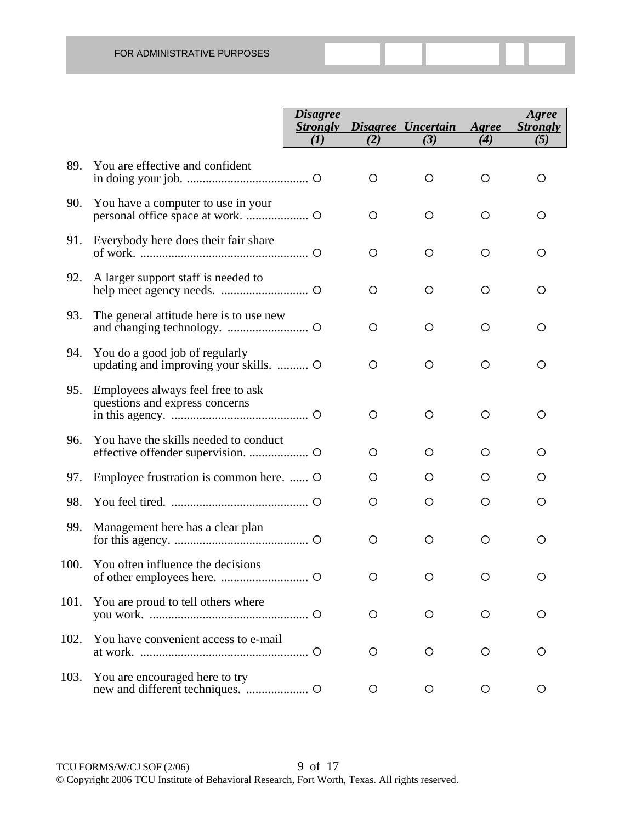|      |                                                                         | <b>Disagree</b><br><b>Strongly</b> |         | Disagree Uncertain | Agree   | Agree<br><b>Strongly</b> |
|------|-------------------------------------------------------------------------|------------------------------------|---------|--------------------|---------|--------------------------|
|      |                                                                         | (I)                                | (2)     | (3)                | (4)     | (5)                      |
| 89.  | You are effective and confident                                         |                                    | $\circ$ | $\circ$            | O       | Ő                        |
|      | 90. You have a computer to use in your                                  |                                    | O       | O                  | O       | O                        |
|      | 91. Everybody here does their fair share                                |                                    | O       | O                  | O       | O                        |
| 92.  | A larger support staff is needed to                                     |                                    | O       | O                  | O       | O                        |
| 93.  | The general attitude here is to use new                                 |                                    | O       | O                  | O       | O                        |
| 94.  | You do a good job of regularly<br>updating and improving your skills.   |                                    | O       | O                  | O       | O                        |
|      | 95. Employees always feel free to ask<br>questions and express concerns |                                    | O       | O                  | $\circ$ | O                        |
| 96.  | You have the skills needed to conduct                                   |                                    | $\circ$ | $\circ$            | O       | O                        |
| 97.  | Employee frustration is common here.  O                                 |                                    | O       | O                  | O       | Ő                        |
| 98.  |                                                                         |                                    | $\circ$ | $\circ$            | O       | O                        |
| 99.  | Management here has a clear plan                                        |                                    | O       | O                  | O       | O                        |
|      | 100. You often influence the decisions                                  |                                    | O       | O                  | O       | O                        |
| 101. | You are proud to tell others where                                      |                                    | O       | O                  | $\circ$ | O                        |
| 102. | You have convenient access to e-mail                                    |                                    | $\circ$ | O                  | O       | Ő                        |
| 103. | You are encouraged here to try                                          |                                    | O       | O                  | O       | Ő                        |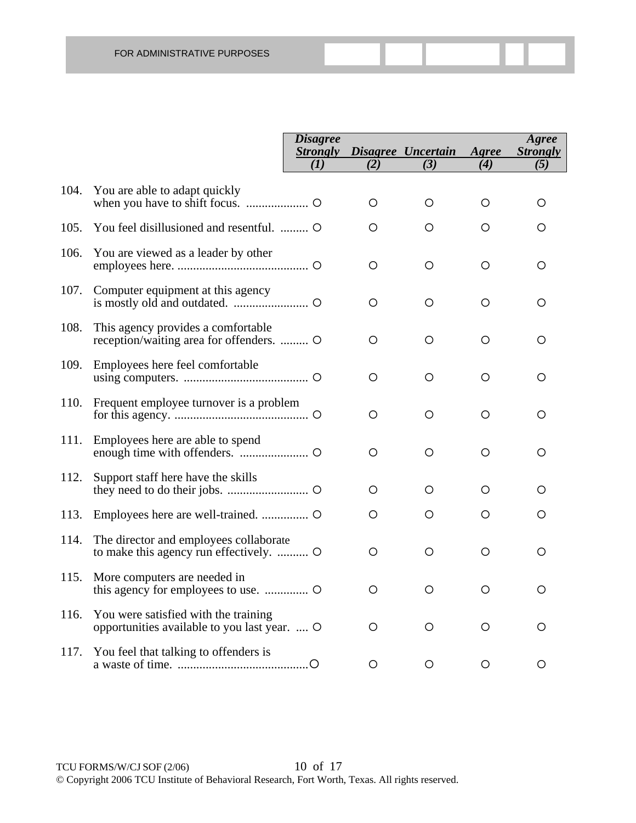|      |                                                                                      | <b>Disagree</b><br><b>Strongly</b> |         | Disagree Uncertain | Agree | Agree<br><b>Strongly</b> |
|------|--------------------------------------------------------------------------------------|------------------------------------|---------|--------------------|-------|--------------------------|
|      |                                                                                      | (I)                                | (2)     | (3)                | (4)   | (5)                      |
| 104. | You are able to adapt quickly                                                        |                                    | O       | O                  | O     | O                        |
| 105. | You feel disillusioned and resentful.  O                                             |                                    | O       | O                  | O     | O                        |
| 106. | You are viewed as a leader by other                                                  |                                    | $\circ$ | $\circ$            | O     | O                        |
| 107. | Computer equipment at this agency                                                    |                                    | O       | O                  | O     | O                        |
| 108. | This agency provides a comfortable<br>reception/waiting area for offenders.  O       |                                    | O       | $\circ$            | O     | O                        |
| 109. | Employees here feel comfortable                                                      |                                    | O       | O                  | O     | O                        |
| 110. | Frequent employee turnover is a problem                                              |                                    | O       | O                  | О     | O                        |
| 111. | Employees here are able to spend                                                     |                                    | O       | O                  | O     | O                        |
| 112. | Support staff here have the skills                                                   |                                    | O       | O                  | O     | O                        |
| 113. |                                                                                      |                                    | O       | O                  | O     | О                        |
| 114. | The director and employees collaborate<br>to make this agency run effectively.  O    |                                    | $\circ$ | $\circ$            | O     | O                        |
| 115. | More computers are needed in                                                         |                                    | $\circ$ | $\circ$            | О     | O                        |
| 116. | You were satisfied with the training<br>opportunities available to you last year.  O |                                    | O       | $\circ$            | O     | O                        |
| 117. | You feel that talking to offenders is                                                |                                    | O       | O                  | O     | O                        |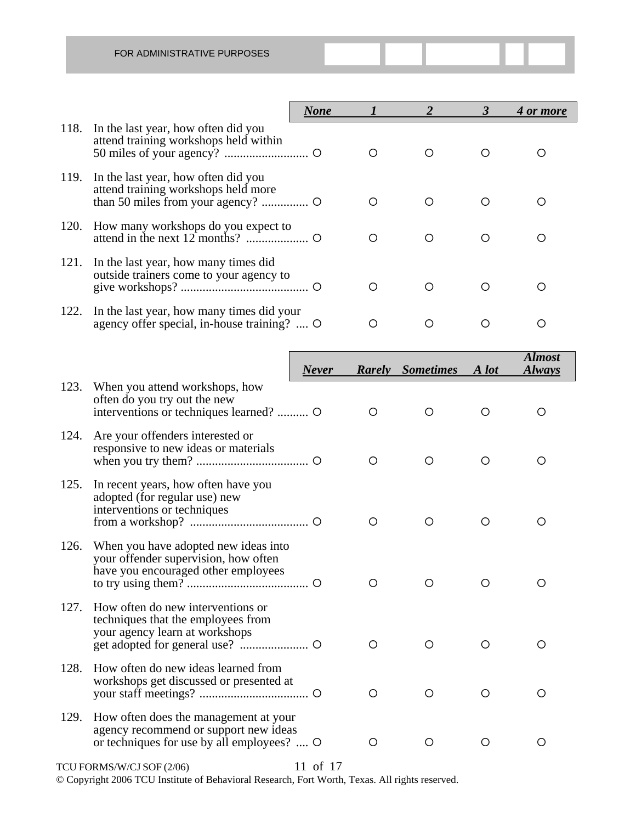|      |                                                                                          | <b>None</b> |                  |   |   | 4 or more |
|------|------------------------------------------------------------------------------------------|-------------|------------------|---|---|-----------|
| 118. | In the last year, how often did you<br>attend training workshops held within             |             | $\left( \right)$ |   |   |           |
| 119. | In the last year, how often did you<br>attend training workshops held more               |             | ◯                |   |   |           |
| 120. | How many workshops do you expect to                                                      |             | ∩                | ∩ | ∩ | ∩         |
| 121. | In the last year, how many times did<br>outside trainers come to your agency to          |             | ∩                |   | ∩ |           |
| 122. | In the last year, how many times did your<br>agency offer special, in-house training?  O |             |                  |   |   |           |

|      |                                                                                                                              | <b>Never</b> |            | <b>Rarely</b> Sometimes | A lot | <b>Almost</b><br><b>Always</b> |
|------|------------------------------------------------------------------------------------------------------------------------------|--------------|------------|-------------------------|-------|--------------------------------|
| 123. | When you attend workshops, how<br>often do you try out the new<br>interventions or techniques learned?  O                    |              | ◯          | ◯                       | ◯     | O                              |
| 124. | Are your offenders interested or<br>responsive to new ideas or materials                                                     |              | O          | O                       | ◯     | O                              |
| 125. | In recent years, how often have you<br>adopted (for regular use) new<br>interventions or techniques                          |              | O          | O                       | O     | O                              |
| 126. | When you have adopted new ideas into<br>your offender supervision, how often<br>have you encouraged other employees          |              | $\bigcirc$ | $\bigcirc$              | ◯     | ◯                              |
| 127. | How often do new interventions or<br>techniques that the employees from<br>your agency learn at workshops                    |              | O          | ◯                       | ◯     | ◯                              |
| 128. | How often do new ideas learned from<br>workshops get discussed or presented at                                               |              | O          | ◯                       | ◯     | ◯                              |
| 129. | How often does the management at your<br>agency recommend or support new ideas<br>or techniques for use by all employees?  O |              | ◯          | ◯                       | ◯     | ◯                              |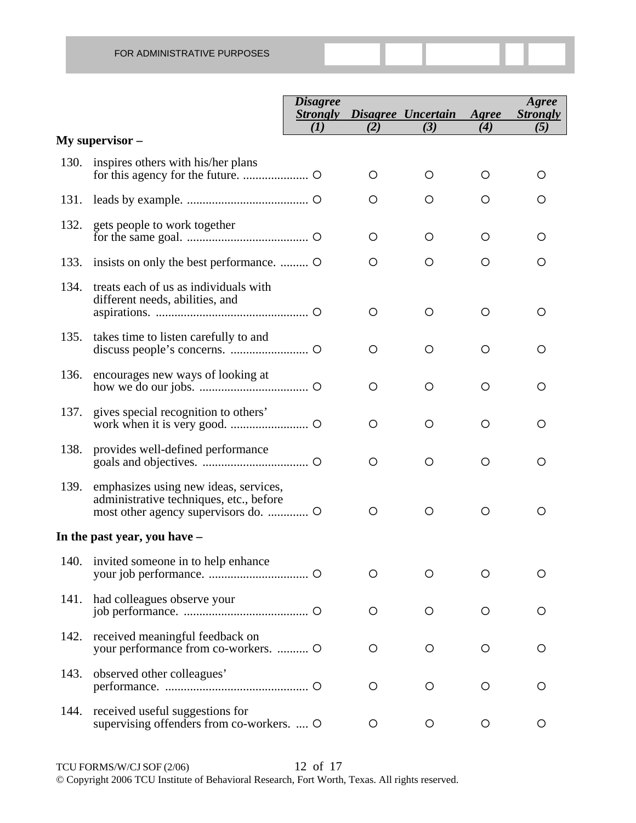|      |                                                                                  | <b>Disagree</b> |     | <b>Strongly Disagree Uncertain</b><br>(3) | Agree<br>(4) | Agree<br><b>Strongly</b> |
|------|----------------------------------------------------------------------------------|-----------------|-----|-------------------------------------------|--------------|--------------------------|
|      | My supervisor –                                                                  | (I)             | (2) |                                           |              | (5)                      |
| 130. | inspires others with his/her plans                                               |                 | O   | O                                         | O            | O                        |
|      |                                                                                  |                 | O   | O                                         | O            | O                        |
| 132. | gets people to work together                                                     |                 | O   | O                                         | O            | O                        |
| 133. | insists on only the best performance.                                            |                 | O   | O                                         | O            | O                        |
| 134. | treats each of us as individuals with<br>different needs, abilities, and         |                 | O   | O                                         | O            | O                        |
| 135. | takes time to listen carefully to and                                            |                 | O   | O                                         | O            | O                        |
| 136. | encourages new ways of looking at                                                |                 | O   | O                                         | O            | O                        |
| 137. | gives special recognition to others'                                             |                 | O   | O                                         | O            | O                        |
| 138. | provides well-defined performance                                                |                 | O   | O                                         | O            | O                        |
| 139. | emphasizes using new ideas, services,<br>administrative techniques, etc., before |                 | O   | O                                         | O            | O                        |
|      | In the past year, you have -                                                     |                 |     |                                           |              |                          |
|      | 140. invited someone in to help enhance                                          |                 | O   | ◯                                         | O            |                          |
| 141. | had colleagues observe your                                                      |                 | O   | O                                         | O            | O                        |
| 142. | received meaningful feedback on<br>your performance from co-workers.  O          |                 | O   | O                                         | O            | O                        |
| 143. | observed other colleagues'                                                       |                 | O   | O                                         | O            | O                        |
| 144. | received useful suggestions for<br>supervising offenders from co-workers.  O     |                 | O   | O                                         | O            | O                        |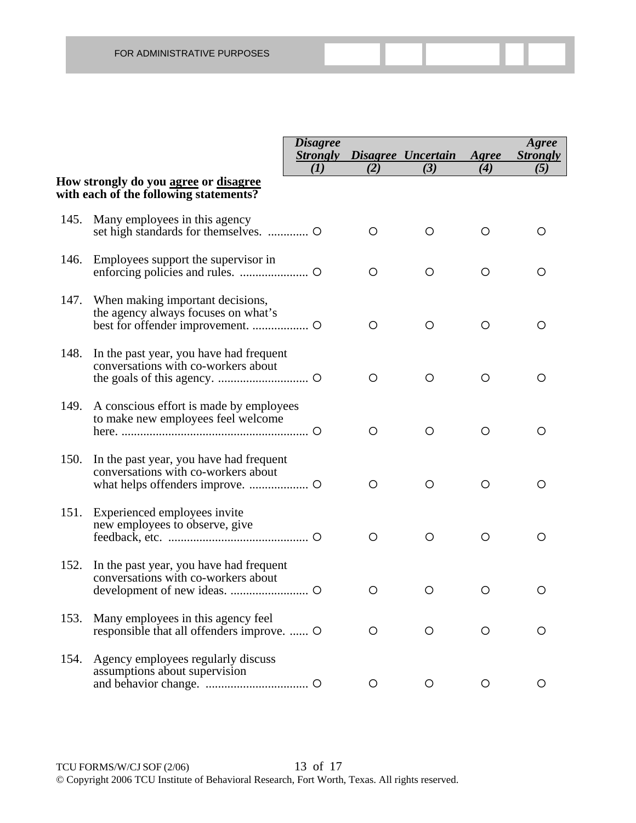|      |                                                                                  | <i><b>Disagree</b></i> |     | <b>Strongly Disagree Uncertain</b> | Agree         | Agree<br><b>Strongly</b> |
|------|----------------------------------------------------------------------------------|------------------------|-----|------------------------------------|---------------|--------------------------|
|      | How strongly do you agree or disagree                                            | (1)                    | (2) | (3)                                | (4)           | (5)                      |
|      | with each of the following statements?                                           |                        |     |                                    |               |                          |
| 145. | Many employees in this agency                                                    |                        | O   | O                                  | O             |                          |
| 146. | Employees support the supervisor in                                              |                        | O   | O                                  | $\circ$       | O                        |
| 147. | When making important decisions,<br>the agency always focuses on what's          |                        | O   | O                                  | O             | O                        |
| 148. | In the past year, you have had frequent<br>conversations with co-workers about   |                        | O   | O                                  | $\circ$       | O                        |
| 149. | A conscious effort is made by employees<br>to make new employees feel welcome    |                        | O   | O                                  | O             | O                        |
| 150. | In the past year, you have had frequent<br>conversations with co-workers about   |                        | O   | O                                  | $\circ$       | O                        |
| 151. | Experienced employees invite<br>new employees to observe, give                   |                        | O   | O                                  | O             | O                        |
| 152. | In the past year, you have had frequent<br>conversations with co-workers about   |                        | O   | O                                  | O             | O                        |
| 153. | Many employees in this agency feel<br>responsible that all offenders improve.  O |                        | O   |                                    | $\mathcal{L}$ |                          |
| 154. | Agency employees regularly discuss<br>assumptions about supervision              |                        | O   | $\circ$                            | $\circ$       | $\circ$                  |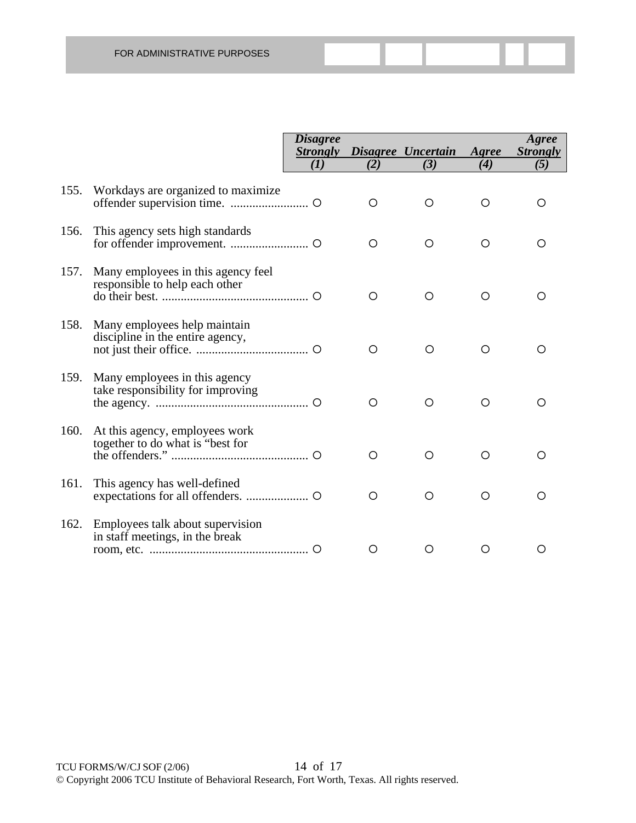|      |                                                                      | <b>Disagree</b> |     |                    |            | Agree           |
|------|----------------------------------------------------------------------|-----------------|-----|--------------------|------------|-----------------|
|      |                                                                      | <b>Strongly</b> |     | Disagree Uncertain | Agree      | <b>Strongly</b> |
|      |                                                                      | (I)             | (2) | (3)                | (4)        | (5)             |
| 155. | Workdays are organized to maximize                                   |                 | O   | O                  | Ω          | O               |
| 156. | This agency sets high standards                                      |                 | O   | O                  | O          |                 |
| 157. | Many employees in this agency feel<br>responsible to help each other |                 | O   | O                  | O          | O               |
| 158. | Many employees help maintain<br>discipline in the entire agency,     |                 | O   | O                  | ◯          |                 |
| 159. | Many employees in this agency<br>take responsibility for improving   |                 | O   | ◯                  | ∩          |                 |
| 160. | At this agency, employees work<br>together to do what is "best for   |                 | O   | $\bigcirc$         | $\bigcirc$ | ◯               |
| 161. | This agency has well-defined                                         |                 | O   | O                  | O          | Ω               |
| 162. | Employees talk about supervision<br>in staff meetings, in the break  |                 | O   | O                  | ( )        | O               |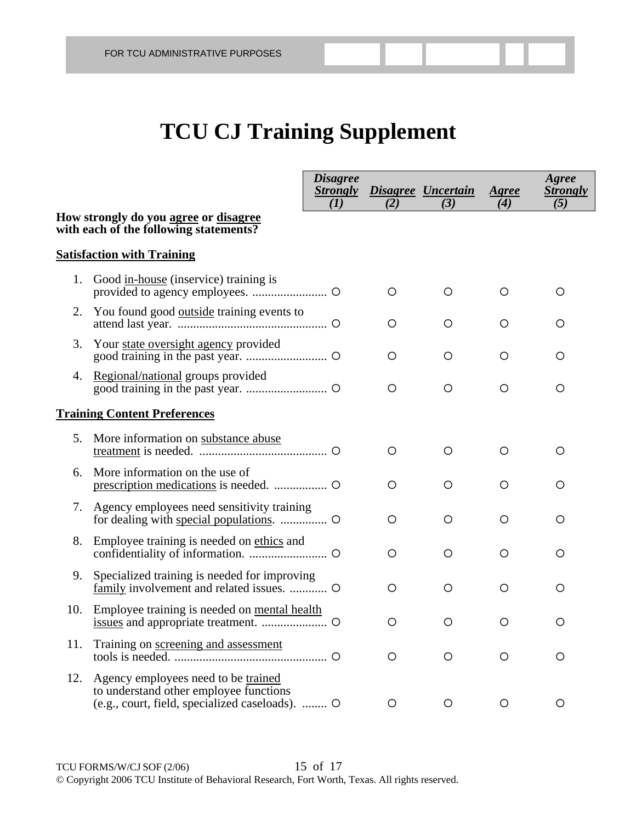# **TCU CJ Training Supplement**

|     |                                                                                                                                  | <b>Disagree</b><br><b>Strongly</b><br>(I) | (2)     | Disagree Uncertain<br>(3) | Agree<br>(4) | Agree<br><b>Strongly</b><br>(5) |
|-----|----------------------------------------------------------------------------------------------------------------------------------|-------------------------------------------|---------|---------------------------|--------------|---------------------------------|
|     | How strongly do you agree or disagree<br>with each of the following statements?                                                  |                                           |         |                           |              |                                 |
|     | <b>Satisfaction with Training</b>                                                                                                |                                           |         |                           |              |                                 |
| 1.  | Good in-house (inservice) training is                                                                                            |                                           | O       | O                         | O            | O                               |
| 2.  | You found good <u>outside</u> training events to                                                                                 |                                           | O       | O                         | O            | O                               |
| 3.  | Your state oversight agency provided                                                                                             |                                           | $\circ$ | O                         | O            | O                               |
|     | 4. Regional/national groups provided                                                                                             |                                           | O       | O                         | O            | O                               |
|     | <b>Training Content Preferences</b>                                                                                              |                                           |         |                           |              |                                 |
| 5.  | More information on substance abuse                                                                                              |                                           | ◯       | O                         | O            | O                               |
| 6.  | More information on the use of                                                                                                   |                                           | O       | O                         | O            | O                               |
|     | 7. Agency employees need sensitivity training                                                                                    |                                           | O       | O                         | $\circ$      | O                               |
| 8.  | Employee training is needed on ethics and                                                                                        |                                           | $\circ$ | $\circ$                   | $\circ$      | O                               |
| 9.  | Specialized training is needed for improving                                                                                     |                                           | O       | O                         | O            | O                               |
| 10. | Employee training is needed on mental health                                                                                     |                                           | O       | O                         | O            | O                               |
| 11. | Training on screening and assessment                                                                                             |                                           | ( )     | ( )                       |              | ( )                             |
| 12. | Agency employees need to be trained<br>to understand other employee functions<br>(e.g., court, field, specialized caseloads).  O |                                           | $\circ$ | $\circ$                   | O            | O                               |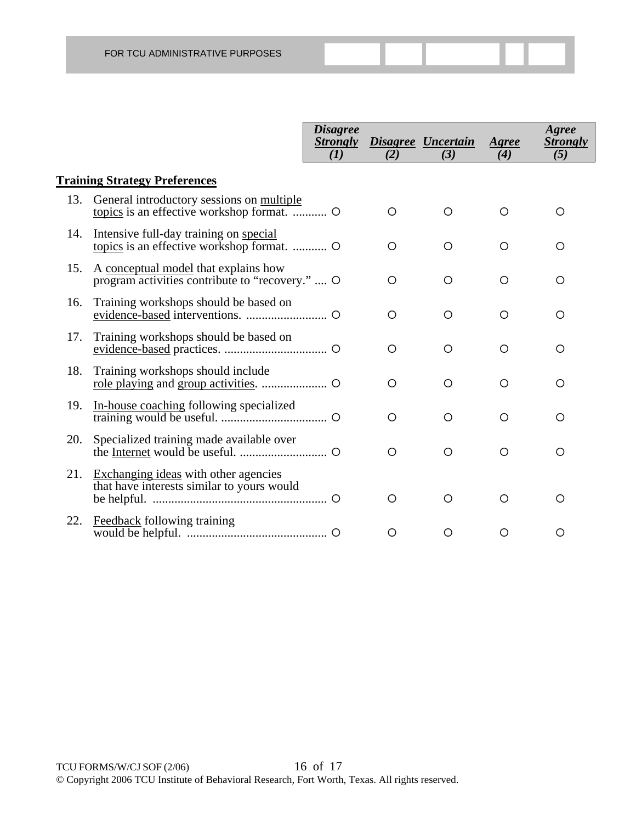|     |                                                                                         | <b>Disagree</b><br><b>Strongly</b><br>(I) | (2)        | <b>Disagree Uncertain</b><br>(3) | Agree<br>(4) | Agree<br><i><b>Strongly</b></i><br>(5) |
|-----|-----------------------------------------------------------------------------------------|-------------------------------------------|------------|----------------------------------|--------------|----------------------------------------|
|     | <b>Training Strategy Preferences</b>                                                    |                                           |            |                                  |              |                                        |
| 13. | General introductory sessions on multiple                                               |                                           | $\circ$    | O                                | Ο            | O                                      |
| 14. | Intensive full-day training on special                                                  |                                           | O          | O                                | Ο            | O                                      |
| 15. | A conceptual model that explains how<br>program activities contribute to "recovery."  O |                                           | $\circ$    | $\circ$                          | O            | O                                      |
| 16. | Training workshops should be based on                                                   |                                           | $\circ$    | $\circ$                          | O            | O                                      |
| 17. | Training workshops should be based on                                                   |                                           | $\circ$    | $\circ$                          | Ο            | O                                      |
| 18. | Training workshops should include                                                       |                                           | $\circ$    | $\circ$                          | O            | O                                      |
| 19. | In-house coaching following specialized                                                 |                                           | $\bigcirc$ | $\bigcirc$                       | Ο            | O                                      |
| 20. | Specialized training made available over                                                |                                           | $\circ$    | $\circ$                          | O            | O                                      |
| 21. | Exchanging ideas with other agencies<br>that have interests similar to yours would      |                                           | O          | $\bigcirc$                       | Ω            | O                                      |
| 22. | Feedback following training                                                             |                                           | O          | Ο                                | Ο            | O                                      |